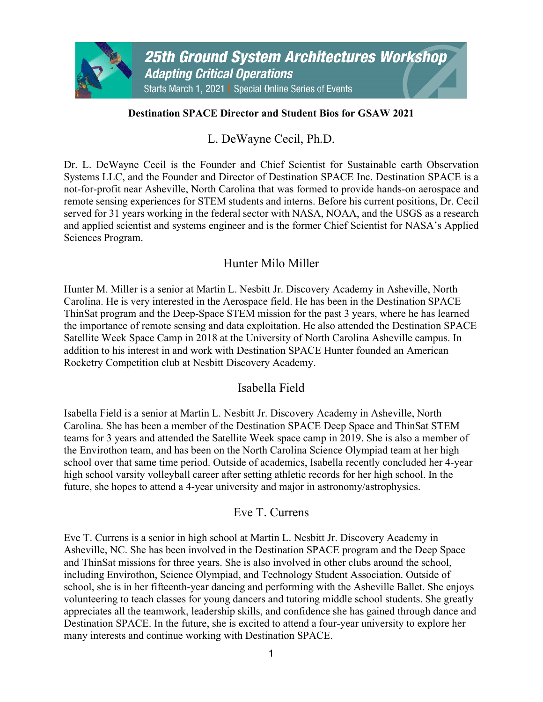### **Destination SPACE Director and Student Bios for GSAW 2021**

L. DeWayne Cecil, Ph.D.

Dr. L. DeWayne Cecil is the Founder and Chief Scientist for Sustainable earth Observation Systems LLC, and the Founder and Director of Destination SPACE Inc. Destination SPACE is a not-for-profit near Asheville, North Carolina that was formed to provide hands-on aerospace and remote sensing experiences for STEM students and interns. Before his current positions, Dr. Cecil served for 31 years working in the federal sector with NASA, NOAA, and the USGS as a research and applied scientist and systems engineer and is the former Chief Scientist for NASA's Applied Sciences Program.

# Hunter Milo Miller

Hunter M. Miller is a senior at Martin L. Nesbitt Jr. Discovery Academy in Asheville, North Carolina. He is very interested in the Aerospace field. He has been in the Destination SPACE ThinSat program and the Deep-Space STEM mission for the past 3 years, where he has learned the importance of remote sensing and data exploitation. He also attended the Destination SPACE Satellite Week Space Camp in 2018 at the University of North Carolina Asheville campus. In addition to his interest in and work with Destination SPACE Hunter founded an American Rocketry Competition club at Nesbitt Discovery Academy.

## Isabella Field

Isabella Field is a senior at Martin L. Nesbitt Jr. Discovery Academy in Asheville, North Carolina. She has been a member of the Destination SPACE Deep Space and ThinSat STEM teams for 3 years and attended the Satellite Week space camp in 2019. She is also a member of the Envirothon team, and has been on the North Carolina Science Olympiad team at her high school over that same time period. Outside of academics, Isabella recently concluded her 4-year high school varsity volleyball career after setting athletic records for her high school. In the future, she hopes to attend a 4-year university and major in astronomy/astrophysics.

# Eve T. Currens

Eve T. Currens is a senior in high school at Martin L. Nesbitt Jr. Discovery Academy in Asheville, NC. She has been involved in the Destination SPACE program and the Deep Space and ThinSat missions for three years. She is also involved in other clubs around the school, including Envirothon, Science Olympiad, and Technology Student Association. Outside of school, she is in her fifteenth-year dancing and performing with the Asheville Ballet. She enjoys volunteering to teach classes for young dancers and tutoring middle school students. She greatly appreciates all the teamwork, leadership skills, and confidence she has gained through dance and Destination SPACE. In the future, she is excited to attend a four-year university to explore her many interests and continue working with Destination SPACE.